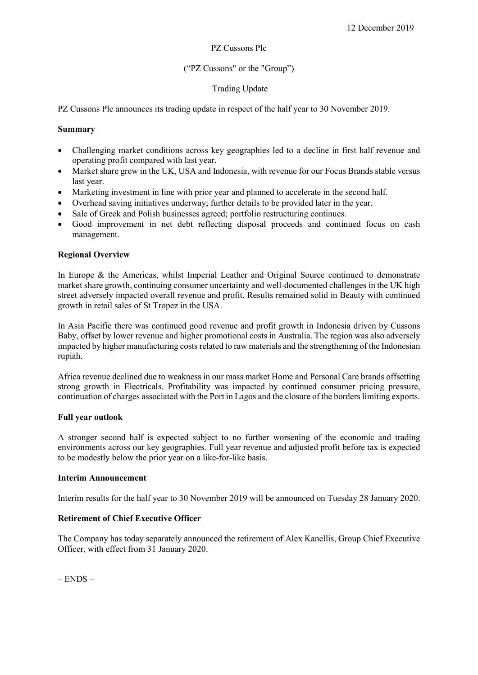#### PZ Cussons Plc

# ("PZ Cussons" or the "Group")

# Trading Update

PZ Cussons Plc announces its trading update in respect of the half year to 30 November 2019.

### Summary

- Challenging market conditions across key geographies led to a decline in first half revenue and operating profit compared with last year.
- Market share grew in the UK, USA and Indonesia, with revenue for our Focus Brands stable versus last year.
- Marketing investment in line with prior year and planned to accelerate in the second half.
- Overhead saving initiatives underway; further details to be provided later in the year.
- Sale of Greek and Polish businesses agreed; portfolio restructuring continues.
- Good improvement in net debt reflecting disposal proceeds and continued focus on cash management.

### Regional Overview

In Europe & the Americas, whilst Imperial Leather and Original Source continued to demonstrate market share growth, continuing consumer uncertainty and well-documented challenges in the UK high street adversely impacted overall revenue and profit. Results remained solid in Beauty with continued growth in retail sales of St Tropez in the USA.

In Asia Pacific there was continued good revenue and profit growth in Indonesia driven by Cussons Baby, offset by lower revenue and higher promotional costs in Australia. The region was also adversely impacted by higher manufacturing costs related to raw materials and the strengthening of the Indonesian rupiah.

Africa revenue declined due to weakness in our mass market Home and Personal Care brands offsetting strong growth in Electricals. Profitability was impacted by continued consumer pricing pressure, continuation of charges associated with the Port in Lagos and the closure of the borders limiting exports.

### Full year outlook

A stronger second half is expected subject to no further worsening of the economic and trading environments across our key geographies. Full year revenue and adjusted profit before tax is expected to be modestly below the prior year on a like-for-like basis.

#### Interim Announcement

Interim results for the half year to 30 November 2019 will be announced on Tuesday 28 January 2020.

# Retirement of Chief Executive Officer

The Company has today separately announced the retirement of Alex Kanellis, Group Chief Executive Officer, with effect from 31 January 2020.

 $-$  ENDS  $-$